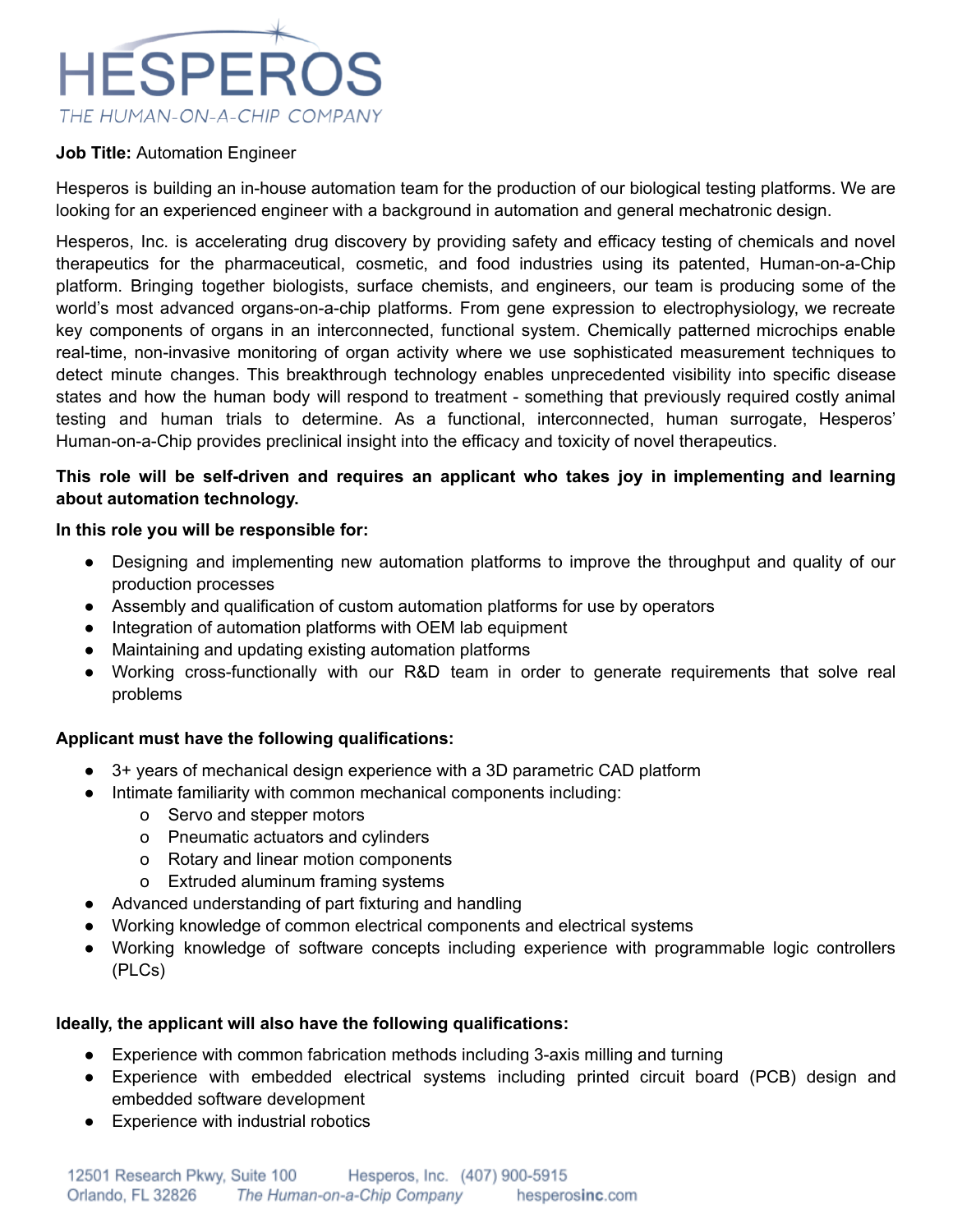

#### **Job Title:** Automation Engineer

Hesperos is building an in-house automation team for the production of our biological testing platforms. We are looking for an experienced engineer with a background in automation and general mechatronic design.

Hesperos, Inc. is accelerating drug discovery by providing safety and efficacy testing of chemicals and novel therapeutics for the pharmaceutical, cosmetic, and food industries using its patented, Human-on-a-Chip platform. Bringing together biologists, surface chemists, and engineers, our team is producing some of the world's most advanced organs-on-a-chip platforms. From gene expression to electrophysiology, we recreate key components of organs in an interconnected, functional system. Chemically patterned microchips enable real-time, non-invasive monitoring of organ activity where we use sophisticated measurement techniques to detect minute changes. This breakthrough technology enables unprecedented visibility into specific disease states and how the human body will respond to treatment - something that previously required costly animal testing and human trials to determine. As a functional, interconnected, human surrogate, Hesperos' Human-on-a-Chip provides preclinical insight into the efficacy and toxicity of novel therapeutics.

## **This role will be self-driven and requires an applicant who takes joy in implementing and learning about automation technology.**

#### **In this role you will be responsible for:**

- Designing and implementing new automation platforms to improve the throughput and quality of our production processes
- Assembly and qualification of custom automation platforms for use by operators
- Integration of automation platforms with OEM lab equipment
- Maintaining and updating existing automation platforms
- Working cross-functionally with our R&D team in order to generate requirements that solve real problems

### **Applicant must have the following qualifications:**

- 3+ years of mechanical design experience with a 3D parametric CAD platform
	- Intimate familiarity with common mechanical components including:
		- o Servo and stepper motors
		- o Pneumatic actuators and cylinders
		- o Rotary and linear motion components
		- o Extruded aluminum framing systems
- Advanced understanding of part fixturing and handling
- Working knowledge of common electrical components and electrical systems
- Working knowledge of software concepts including experience with programmable logic controllers (PLCs)

### **Ideally, the applicant will also have the following qualifications:**

- Experience with common fabrication methods including 3-axis milling and turning
- Experience with embedded electrical systems including printed circuit board (PCB) design and embedded software development
- Experience with industrial robotics